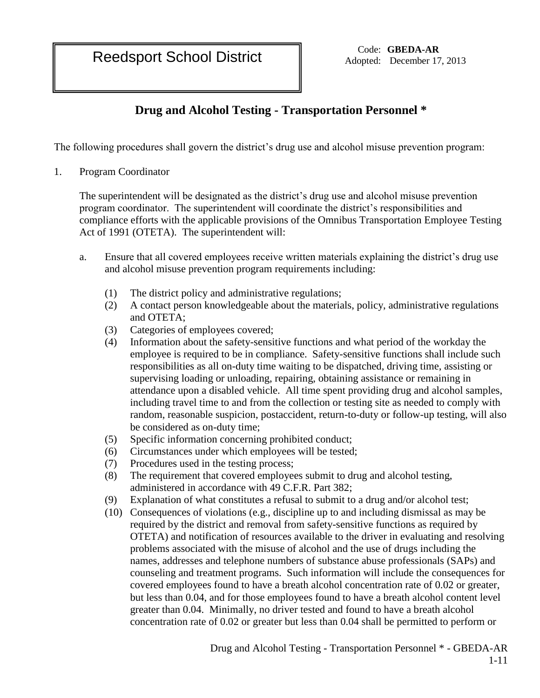Reedsport School District **Code:** GBEDA-AR

Adopted: December 17, 2013

# **Drug and Alcohol Testing - Transportation Personnel \***

The following procedures shall govern the district's drug use and alcohol misuse prevention program:

1. Program Coordinator

The superintendent will be designated as the district's drug use and alcohol misuse prevention program coordinator. The superintendent will coordinate the district's responsibilities and compliance efforts with the applicable provisions of the Omnibus Transportation Employee Testing Act of 1991 (OTETA). The superintendent will:

- a. Ensure that all covered employees receive written materials explaining the district's drug use and alcohol misuse prevention program requirements including:
	- (1) The district policy and administrative regulations;
	- (2) A contact person knowledgeable about the materials, policy, administrative regulations and OTETA;
	- (3) Categories of employees covered;
	- (4) Information about the safety-sensitive functions and what period of the workday the employee is required to be in compliance. Safety-sensitive functions shall include such responsibilities as all on-duty time waiting to be dispatched, driving time, assisting or supervising loading or unloading, repairing, obtaining assistance or remaining in attendance upon a disabled vehicle. All time spent providing drug and alcohol samples, including travel time to and from the collection or testing site as needed to comply with random, reasonable suspicion, postaccident, return-to-duty or follow-up testing, will also be considered as on-duty time;
	- (5) Specific information concerning prohibited conduct;
	- (6) Circumstances under which employees will be tested;
	- (7) Procedures used in the testing process;
	- (8) The requirement that covered employees submit to drug and alcohol testing, administered in accordance with 49 C.F.R. Part 382;
	- (9) Explanation of what constitutes a refusal to submit to a drug and/or alcohol test;
	- (10) Consequences of violations (e.g., discipline up to and including dismissal as may be required by the district and removal from safety-sensitive functions as required by OTETA) and notification of resources available to the driver in evaluating and resolving problems associated with the misuse of alcohol and the use of drugs including the names, addresses and telephone numbers of substance abuse professionals (SAPs) and counseling and treatment programs. Such information will include the consequences for covered employees found to have a breath alcohol concentration rate of 0.02 or greater, but less than 0.04, and for those employees found to have a breath alcohol content level greater than 0.04. Minimally, no driver tested and found to have a breath alcohol concentration rate of 0.02 or greater but less than 0.04 shall be permitted to perform or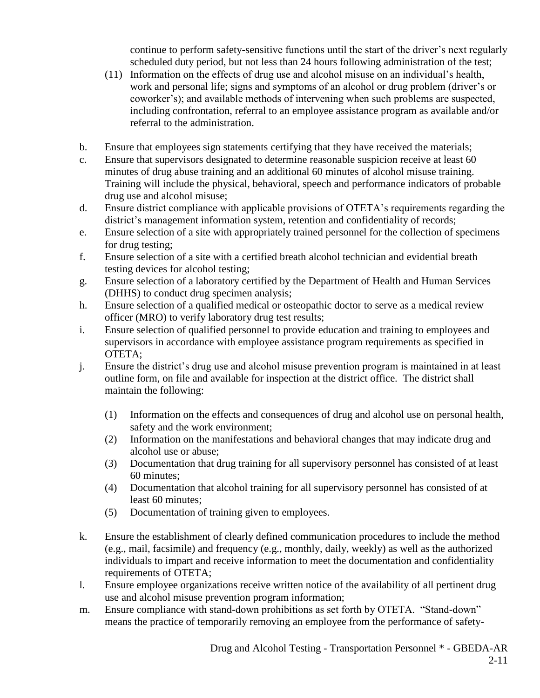continue to perform safety-sensitive functions until the start of the driver's next regularly scheduled duty period, but not less than 24 hours following administration of the test;

- (11) Information on the effects of drug use and alcohol misuse on an individual's health, work and personal life; signs and symptoms of an alcohol or drug problem (driver's or coworker's); and available methods of intervening when such problems are suspected, including confrontation, referral to an employee assistance program as available and/or referral to the administration.
- b. Ensure that employees sign statements certifying that they have received the materials;
- c. Ensure that supervisors designated to determine reasonable suspicion receive at least 60 minutes of drug abuse training and an additional 60 minutes of alcohol misuse training. Training will include the physical, behavioral, speech and performance indicators of probable drug use and alcohol misuse;
- d. Ensure district compliance with applicable provisions of OTETA's requirements regarding the district's management information system, retention and confidentiality of records;
- e. Ensure selection of a site with appropriately trained personnel for the collection of specimens for drug testing;
- f. Ensure selection of a site with a certified breath alcohol technician and evidential breath testing devices for alcohol testing;
- g. Ensure selection of a laboratory certified by the Department of Health and Human Services (DHHS) to conduct drug specimen analysis;
- h. Ensure selection of a qualified medical or osteopathic doctor to serve as a medical review officer (MRO) to verify laboratory drug test results;
- i. Ensure selection of qualified personnel to provide education and training to employees and supervisors in accordance with employee assistance program requirements as specified in OTETA;
- j. Ensure the district's drug use and alcohol misuse prevention program is maintained in at least outline form, on file and available for inspection at the district office. The district shall maintain the following:
	- (1) Information on the effects and consequences of drug and alcohol use on personal health, safety and the work environment;
	- (2) Information on the manifestations and behavioral changes that may indicate drug and alcohol use or abuse;
	- (3) Documentation that drug training for all supervisory personnel has consisted of at least 60 minutes;
	- (4) Documentation that alcohol training for all supervisory personnel has consisted of at least 60 minutes;
	- (5) Documentation of training given to employees.
- k. Ensure the establishment of clearly defined communication procedures to include the method (e.g., mail, facsimile) and frequency (e.g., monthly, daily, weekly) as well as the authorized individuals to impart and receive information to meet the documentation and confidentiality requirements of OTETA;
- l. Ensure employee organizations receive written notice of the availability of all pertinent drug use and alcohol misuse prevention program information;
- m. Ensure compliance with stand-down prohibitions as set forth by OTETA. "Stand-down" means the practice of temporarily removing an employee from the performance of safety-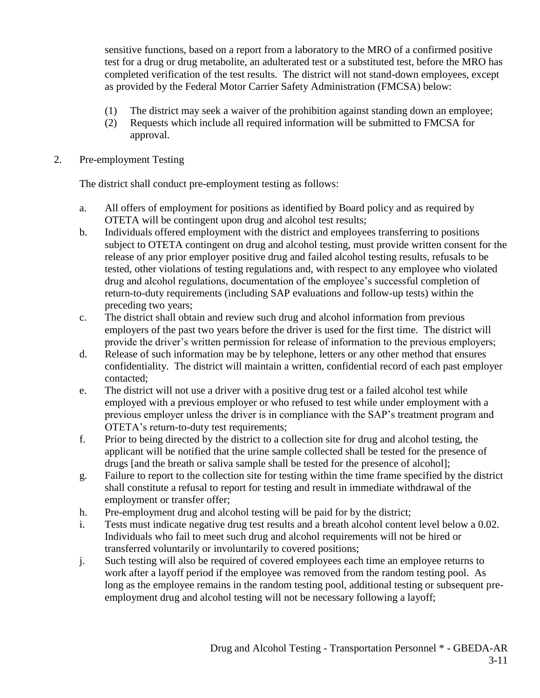sensitive functions, based on a report from a laboratory to the MRO of a confirmed positive test for a drug or drug metabolite, an adulterated test or a substituted test, before the MRO has completed verification of the test results. The district will not stand-down employees, except as provided by the Federal Motor Carrier Safety Administration (FMCSA) below:

- (1) The district may seek a waiver of the prohibition against standing down an employee;
- (2) Requests which include all required information will be submitted to FMCSA for approval.

#### 2. Pre-employment Testing

The district shall conduct pre-employment testing as follows:

- a. All offers of employment for positions as identified by Board policy and as required by OTETA will be contingent upon drug and alcohol test results;
- b. Individuals offered employment with the district and employees transferring to positions subject to OTETA contingent on drug and alcohol testing, must provide written consent for the release of any prior employer positive drug and failed alcohol testing results, refusals to be tested, other violations of testing regulations and, with respect to any employee who violated drug and alcohol regulations, documentation of the employee's successful completion of return-to-duty requirements (including SAP evaluations and follow-up tests) within the preceding two years;
- c. The district shall obtain and review such drug and alcohol information from previous employers of the past two years before the driver is used for the first time. The district will provide the driver's written permission for release of information to the previous employers;
- d. Release of such information may be by telephone, letters or any other method that ensures confidentiality. The district will maintain a written, confidential record of each past employer contacted;
- e. The district will not use a driver with a positive drug test or a failed alcohol test while employed with a previous employer or who refused to test while under employment with a previous employer unless the driver is in compliance with the SAP's treatment program and OTETA's return-to-duty test requirements;
- f. Prior to being directed by the district to a collection site for drug and alcohol testing, the applicant will be notified that the urine sample collected shall be tested for the presence of drugs [and the breath or saliva sample shall be tested for the presence of alcohol];
- g. Failure to report to the collection site for testing within the time frame specified by the district shall constitute a refusal to report for testing and result in immediate withdrawal of the employment or transfer offer;
- h. Pre-employment drug and alcohol testing will be paid for by the district;
- i. Tests must indicate negative drug test results and a breath alcohol content level below a 0.02. Individuals who fail to meet such drug and alcohol requirements will not be hired or transferred voluntarily or involuntarily to covered positions;
- j. Such testing will also be required of covered employees each time an employee returns to work after a layoff period if the employee was removed from the random testing pool. As long as the employee remains in the random testing pool, additional testing or subsequent preemployment drug and alcohol testing will not be necessary following a layoff;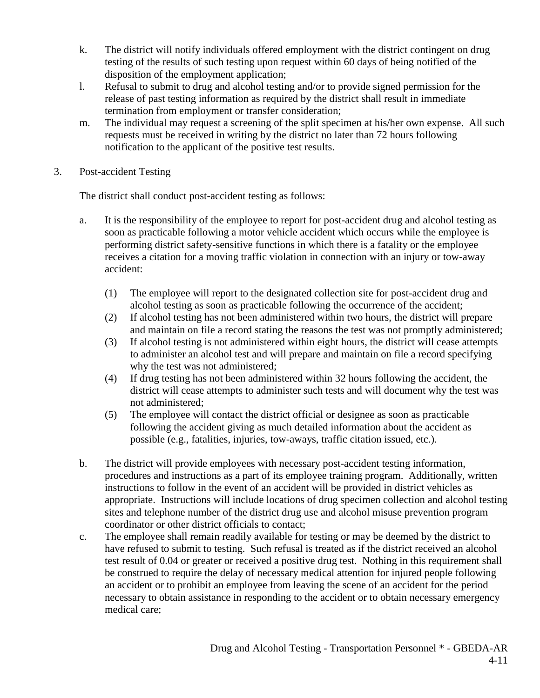- k. The district will notify individuals offered employment with the district contingent on drug testing of the results of such testing upon request within 60 days of being notified of the disposition of the employment application;
- l. Refusal to submit to drug and alcohol testing and/or to provide signed permission for the release of past testing information as required by the district shall result in immediate termination from employment or transfer consideration;
- m. The individual may request a screening of the split specimen at his/her own expense. All such requests must be received in writing by the district no later than 72 hours following notification to the applicant of the positive test results.
- 3. Post-accident Testing

The district shall conduct post-accident testing as follows:

- a. It is the responsibility of the employee to report for post-accident drug and alcohol testing as soon as practicable following a motor vehicle accident which occurs while the employee is performing district safety-sensitive functions in which there is a fatality or the employee receives a citation for a moving traffic violation in connection with an injury or tow-away accident:
	- (1) The employee will report to the designated collection site for post-accident drug and alcohol testing as soon as practicable following the occurrence of the accident;
	- (2) If alcohol testing has not been administered within two hours, the district will prepare and maintain on file a record stating the reasons the test was not promptly administered;
	- (3) If alcohol testing is not administered within eight hours, the district will cease attempts to administer an alcohol test and will prepare and maintain on file a record specifying why the test was not administered;
	- (4) If drug testing has not been administered within 32 hours following the accident, the district will cease attempts to administer such tests and will document why the test was not administered;
	- (5) The employee will contact the district official or designee as soon as practicable following the accident giving as much detailed information about the accident as possible (e.g., fatalities, injuries, tow-aways, traffic citation issued, etc.).
- b. The district will provide employees with necessary post-accident testing information, procedures and instructions as a part of its employee training program. Additionally, written instructions to follow in the event of an accident will be provided in district vehicles as appropriate. Instructions will include locations of drug specimen collection and alcohol testing sites and telephone number of the district drug use and alcohol misuse prevention program coordinator or other district officials to contact;
- c. The employee shall remain readily available for testing or may be deemed by the district to have refused to submit to testing. Such refusal is treated as if the district received an alcohol test result of 0.04 or greater or received a positive drug test. Nothing in this requirement shall be construed to require the delay of necessary medical attention for injured people following an accident or to prohibit an employee from leaving the scene of an accident for the period necessary to obtain assistance in responding to the accident or to obtain necessary emergency medical care;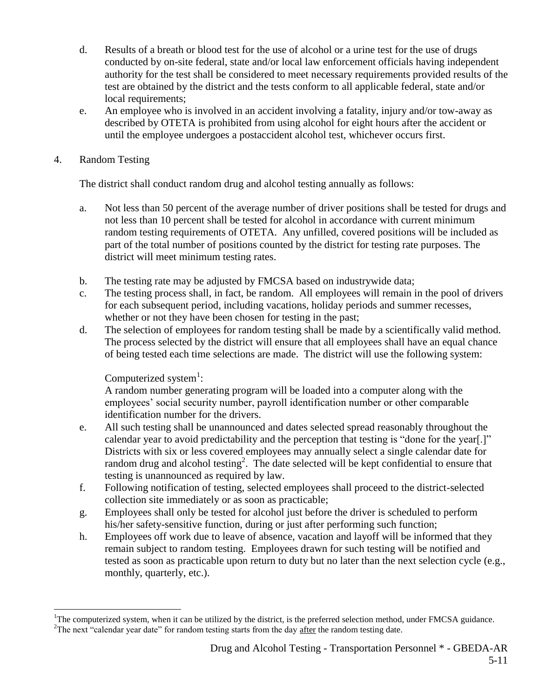- d. Results of a breath or blood test for the use of alcohol or a urine test for the use of drugs conducted by on-site federal, state and/or local law enforcement officials having independent authority for the test shall be considered to meet necessary requirements provided results of the test are obtained by the district and the tests conform to all applicable federal, state and/or local requirements;
- e. An employee who is involved in an accident involving a fatality, injury and/or tow-away as described by OTETA is prohibited from using alcohol for eight hours after the accident or until the employee undergoes a postaccident alcohol test, whichever occurs first.

## 4. Random Testing

 $\overline{a}$ 

The district shall conduct random drug and alcohol testing annually as follows:

- a. Not less than 50 percent of the average number of driver positions shall be tested for drugs and not less than 10 percent shall be tested for alcohol in accordance with current minimum random testing requirements of OTETA. Any unfilled, covered positions will be included as part of the total number of positions counted by the district for testing rate purposes. The district will meet minimum testing rates.
- b. The testing rate may be adjusted by FMCSA based on industrywide data;
- c. The testing process shall, in fact, be random. All employees will remain in the pool of drivers for each subsequent period, including vacations, holiday periods and summer recesses, whether or not they have been chosen for testing in the past;
- d. The selection of employees for random testing shall be made by a scientifically valid method. The process selected by the district will ensure that all employees shall have an equal chance of being tested each time selections are made. The district will use the following system:

## Computerized system $<sup>1</sup>$ :</sup>

A random number generating program will be loaded into a computer along with the employees' social security number, payroll identification number or other comparable identification number for the drivers.

- e. All such testing shall be unannounced and dates selected spread reasonably throughout the calendar year to avoid predictability and the perception that testing is "done for the year[.]" Districts with six or less covered employees may annually select a single calendar date for random drug and alcohol testing<sup>2</sup>. The date selected will be kept confidential to ensure that testing is unannounced as required by law.
- f. Following notification of testing, selected employees shall proceed to the district-selected collection site immediately or as soon as practicable;
- g. Employees shall only be tested for alcohol just before the driver is scheduled to perform his/her safety-sensitive function, during or just after performing such function;
- h. Employees off work due to leave of absence, vacation and layoff will be informed that they remain subject to random testing. Employees drawn for such testing will be notified and tested as soon as practicable upon return to duty but no later than the next selection cycle (e.g., monthly, quarterly, etc.).

 ${}^{1}$ The computerized system, when it can be utilized by the district, is the preferred selection method, under FMCSA guidance.  ${}^{2}$ The next "calendar year date" for random testing starts from the day after the random testing date.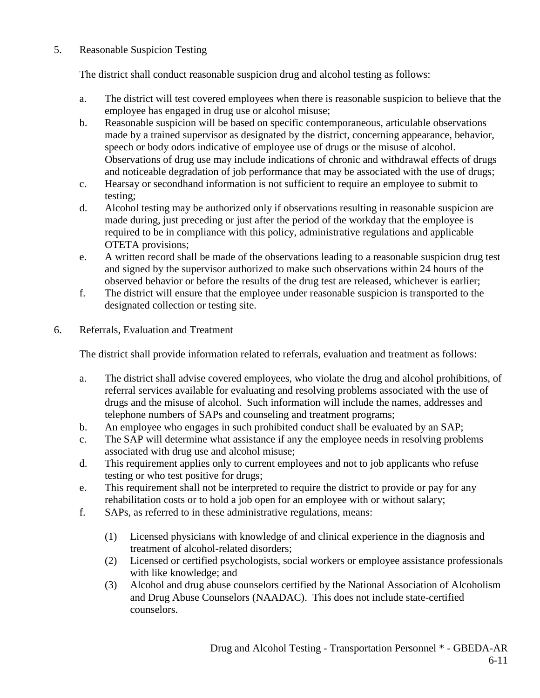## 5. Reasonable Suspicion Testing

The district shall conduct reasonable suspicion drug and alcohol testing as follows:

- a. The district will test covered employees when there is reasonable suspicion to believe that the employee has engaged in drug use or alcohol misuse;
- b. Reasonable suspicion will be based on specific contemporaneous, articulable observations made by a trained supervisor as designated by the district, concerning appearance, behavior, speech or body odors indicative of employee use of drugs or the misuse of alcohol. Observations of drug use may include indications of chronic and withdrawal effects of drugs and noticeable degradation of job performance that may be associated with the use of drugs;
- c. Hearsay or secondhand information is not sufficient to require an employee to submit to testing;
- d. Alcohol testing may be authorized only if observations resulting in reasonable suspicion are made during, just preceding or just after the period of the workday that the employee is required to be in compliance with this policy, administrative regulations and applicable OTETA provisions;
- e. A written record shall be made of the observations leading to a reasonable suspicion drug test and signed by the supervisor authorized to make such observations within 24 hours of the observed behavior or before the results of the drug test are released, whichever is earlier;
- f. The district will ensure that the employee under reasonable suspicion is transported to the designated collection or testing site.
- 6. Referrals, Evaluation and Treatment

The district shall provide information related to referrals, evaluation and treatment as follows:

- a. The district shall advise covered employees, who violate the drug and alcohol prohibitions, of referral services available for evaluating and resolving problems associated with the use of drugs and the misuse of alcohol. Such information will include the names, addresses and telephone numbers of SAPs and counseling and treatment programs;
- b. An employee who engages in such prohibited conduct shall be evaluated by an SAP;
- c. The SAP will determine what assistance if any the employee needs in resolving problems associated with drug use and alcohol misuse;
- d. This requirement applies only to current employees and not to job applicants who refuse testing or who test positive for drugs;
- e. This requirement shall not be interpreted to require the district to provide or pay for any rehabilitation costs or to hold a job open for an employee with or without salary;
- f. SAPs, as referred to in these administrative regulations, means:
	- (1) Licensed physicians with knowledge of and clinical experience in the diagnosis and treatment of alcohol-related disorders;
	- (2) Licensed or certified psychologists, social workers or employee assistance professionals with like knowledge; and
	- (3) Alcohol and drug abuse counselors certified by the National Association of Alcoholism and Drug Abuse Counselors (NAADAC). This does not include state-certified counselors.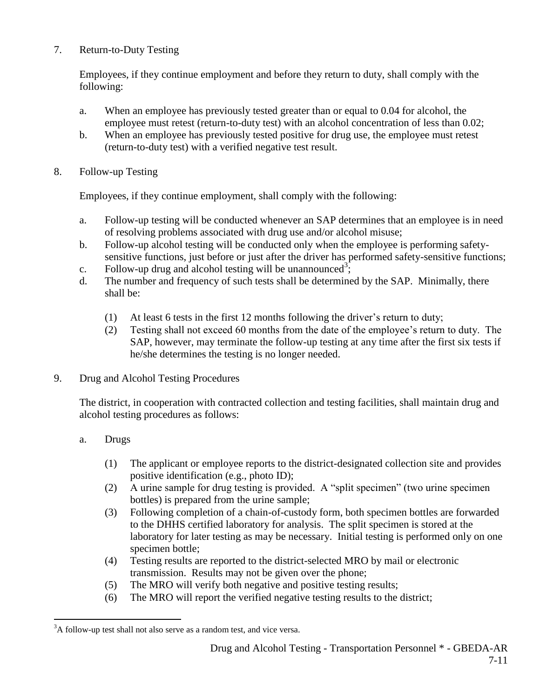### 7. Return-to-Duty Testing

Employees, if they continue employment and before they return to duty, shall comply with the following:

- a. When an employee has previously tested greater than or equal to 0.04 for alcohol, the employee must retest (return-to-duty test) with an alcohol concentration of less than 0.02;
- b. When an employee has previously tested positive for drug use, the employee must retest (return-to-duty test) with a verified negative test result.
- 8. Follow-up Testing

Employees, if they continue employment, shall comply with the following:

- a. Follow-up testing will be conducted whenever an SAP determines that an employee is in need of resolving problems associated with drug use and/or alcohol misuse;
- b. Follow-up alcohol testing will be conducted only when the employee is performing safetysensitive functions, just before or just after the driver has performed safety-sensitive functions;
- c. Follow-up drug and alcohol testing will be unannounced<sup>3</sup>;
- d. The number and frequency of such tests shall be determined by the SAP. Minimally, there shall be:
	- (1) At least 6 tests in the first 12 months following the driver's return to duty;
	- (2) Testing shall not exceed 60 months from the date of the employee's return to duty. The SAP, however, may terminate the follow-up testing at any time after the first six tests if he/she determines the testing is no longer needed.
- 9. Drug and Alcohol Testing Procedures

The district, in cooperation with contracted collection and testing facilities, shall maintain drug and alcohol testing procedures as follows:

- a. Drugs
	- (1) The applicant or employee reports to the district-designated collection site and provides positive identification (e.g., photo ID);
	- (2) A urine sample for drug testing is provided. A "split specimen" (two urine specimen bottles) is prepared from the urine sample;
	- (3) Following completion of a chain-of-custody form, both specimen bottles are forwarded to the DHHS certified laboratory for analysis. The split specimen is stored at the laboratory for later testing as may be necessary. Initial testing is performed only on one specimen bottle;
	- (4) Testing results are reported to the district-selected MRO by mail or electronic transmission. Results may not be given over the phone;
	- (5) The MRO will verify both negative and positive testing results;
	- (6) The MRO will report the verified negative testing results to the district;

 $\overline{a}$  $3A$  follow-up test shall not also serve as a random test, and vice versa.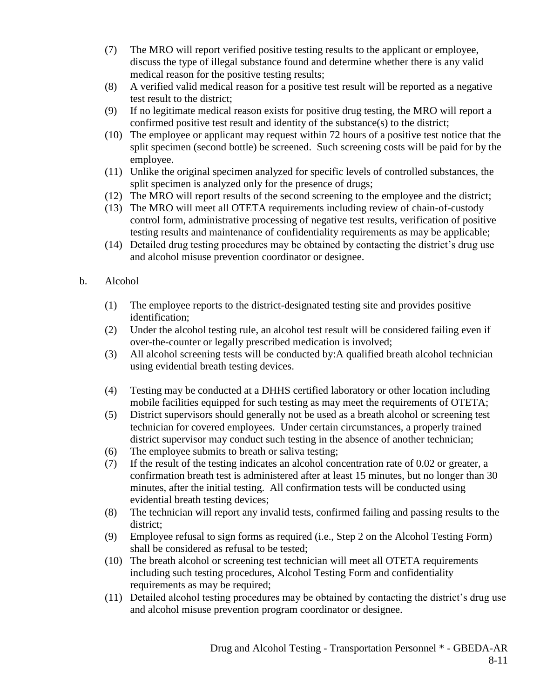- (7) The MRO will report verified positive testing results to the applicant or employee, discuss the type of illegal substance found and determine whether there is any valid medical reason for the positive testing results;
- (8) A verified valid medical reason for a positive test result will be reported as a negative test result to the district;
- (9) If no legitimate medical reason exists for positive drug testing, the MRO will report a confirmed positive test result and identity of the substance(s) to the district;
- (10) The employee or applicant may request within 72 hours of a positive test notice that the split specimen (second bottle) be screened. Such screening costs will be paid for by the employee.
- (11) Unlike the original specimen analyzed for specific levels of controlled substances, the split specimen is analyzed only for the presence of drugs;
- (12) The MRO will report results of the second screening to the employee and the district;
- (13) The MRO will meet all OTETA requirements including review of chain-of-custody control form, administrative processing of negative test results, verification of positive testing results and maintenance of confidentiality requirements as may be applicable;
- (14) Detailed drug testing procedures may be obtained by contacting the district's drug use and alcohol misuse prevention coordinator or designee.
- b. Alcohol
	- (1) The employee reports to the district-designated testing site and provides positive identification;
	- (2) Under the alcohol testing rule, an alcohol test result will be considered failing even if over-the-counter or legally prescribed medication is involved;
	- (3) All alcohol screening tests will be conducted by:A qualified breath alcohol technician using evidential breath testing devices.
	- (4) Testing may be conducted at a DHHS certified laboratory or other location including mobile facilities equipped for such testing as may meet the requirements of OTETA;
	- (5) District supervisors should generally not be used as a breath alcohol or screening test technician for covered employees. Under certain circumstances, a properly trained district supervisor may conduct such testing in the absence of another technician;
	- (6) The employee submits to breath or saliva testing;
	- (7) If the result of the testing indicates an alcohol concentration rate of 0.02 or greater, a confirmation breath test is administered after at least 15 minutes, but no longer than 30 minutes, after the initial testing. All confirmation tests will be conducted using evidential breath testing devices;
	- (8) The technician will report any invalid tests, confirmed failing and passing results to the district;
	- (9) Employee refusal to sign forms as required (i.e., Step 2 on the Alcohol Testing Form) shall be considered as refusal to be tested;
	- (10) The breath alcohol or screening test technician will meet all OTETA requirements including such testing procedures, Alcohol Testing Form and confidentiality requirements as may be required;
	- (11) Detailed alcohol testing procedures may be obtained by contacting the district's drug use and alcohol misuse prevention program coordinator or designee.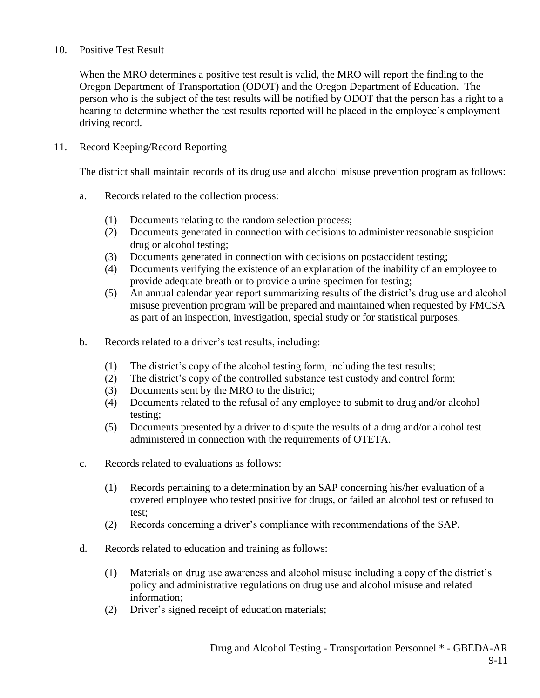#### 10. Positive Test Result

When the MRO determines a positive test result is valid, the MRO will report the finding to the Oregon Department of Transportation (ODOT) and the Oregon Department of Education. The person who is the subject of the test results will be notified by ODOT that the person has a right to a hearing to determine whether the test results reported will be placed in the employee's employment driving record.

#### 11. Record Keeping/Record Reporting

The district shall maintain records of its drug use and alcohol misuse prevention program as follows:

- a. Records related to the collection process:
	- (1) Documents relating to the random selection process;
	- (2) Documents generated in connection with decisions to administer reasonable suspicion drug or alcohol testing;
	- (3) Documents generated in connection with decisions on postaccident testing;
	- (4) Documents verifying the existence of an explanation of the inability of an employee to provide adequate breath or to provide a urine specimen for testing;
	- (5) An annual calendar year report summarizing results of the district's drug use and alcohol misuse prevention program will be prepared and maintained when requested by FMCSA as part of an inspection, investigation, special study or for statistical purposes.
- b. Records related to a driver's test results, including:
	- (1) The district's copy of the alcohol testing form, including the test results;
	- (2) The district's copy of the controlled substance test custody and control form;
	- (3) Documents sent by the MRO to the district;
	- (4) Documents related to the refusal of any employee to submit to drug and/or alcohol testing;
	- (5) Documents presented by a driver to dispute the results of a drug and/or alcohol test administered in connection with the requirements of OTETA.
- c. Records related to evaluations as follows:
	- (1) Records pertaining to a determination by an SAP concerning his/her evaluation of a covered employee who tested positive for drugs, or failed an alcohol test or refused to test;
	- (2) Records concerning a driver's compliance with recommendations of the SAP.
- d. Records related to education and training as follows:
	- (1) Materials on drug use awareness and alcohol misuse including a copy of the district's policy and administrative regulations on drug use and alcohol misuse and related information;
	- (2) Driver's signed receipt of education materials;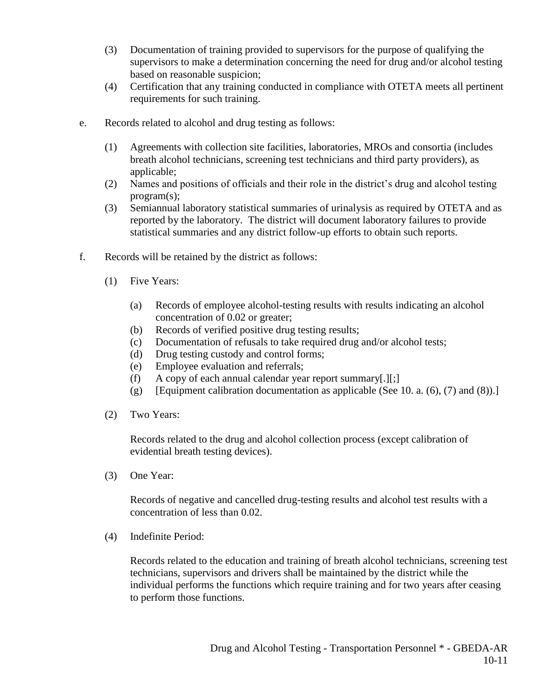- (3) Documentation of training provided to supervisors for the purpose of qualifying the supervisors to make a determination concerning the need for drug and/or alcohol testing based on reasonable suspicion;
- (4) Certification that any training conducted in compliance with OTETA meets all pertinent requirements for such training.
- e. Records related to alcohol and drug testing as follows:
	- (1) Agreements with collection site facilities, laboratories, MROs and consortia (includes breath alcohol technicians, screening test technicians and third party providers), as applicable;
	- (2) Names and positions of officials and their role in the district's drug and alcohol testing program(s);
	- (3) Semiannual laboratory statistical summaries of urinalysis as required by OTETA and as reported by the laboratory. The district will document laboratory failures to provide statistical summaries and any district follow-up efforts to obtain such reports.
- f. Records will be retained by the district as follows:
	- (1) Five Years:
		- (a) Records of employee alcohol-testing results with results indicating an alcohol concentration of 0.02 or greater;
		- (b) Records of verified positive drug testing results;
		- (c) Documentation of refusals to take required drug and/or alcohol tests;
		- (d) Drug testing custody and control forms;
		- (e) Employee evaluation and referrals;
		- (f) A copy of each annual calendar year report summary[.][;]
		- (g) [Equipment calibration documentation as applicable (See 10. a.  $(6)$ ,  $(7)$  and  $(8)$ ).]
	- (2) Two Years:

Records related to the drug and alcohol collection process (except calibration of evidential breath testing devices).

(3) One Year:

Records of negative and cancelled drug-testing results and alcohol test results with a concentration of less than 0.02.

(4) Indefinite Period:

Records related to the education and training of breath alcohol technicians, screening test technicians, supervisors and drivers shall be maintained by the district while the individual performs the functions which require training and for two years after ceasing to perform those functions.